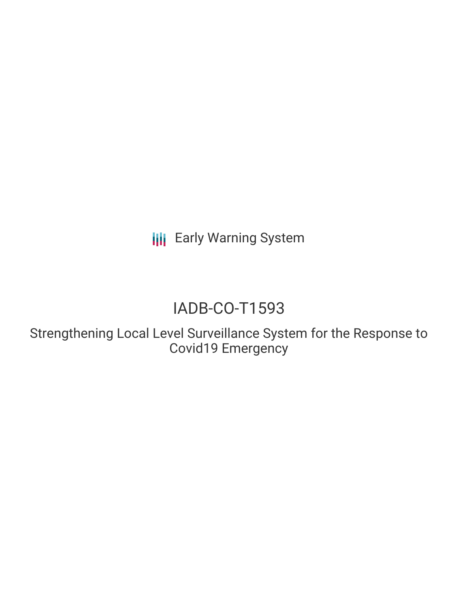**III** Early Warning System

# IADB-CO-T1593

Strengthening Local Level Surveillance System for the Response to Covid19 Emergency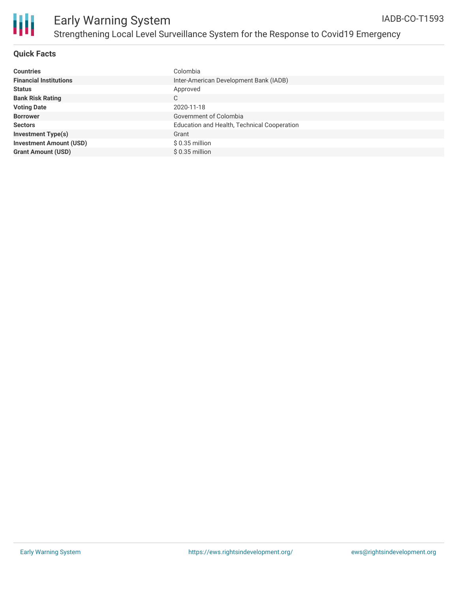

## Early Warning System Strengthening Local Level Surveillance System for the Response to Covid19 Emergency

#### **Quick Facts**

| <b>Countries</b>               | Colombia                                    |
|--------------------------------|---------------------------------------------|
| <b>Financial Institutions</b>  | Inter-American Development Bank (IADB)      |
| <b>Status</b>                  | Approved                                    |
| <b>Bank Risk Rating</b>        | C                                           |
| <b>Voting Date</b>             | 2020-11-18                                  |
| <b>Borrower</b>                | Government of Colombia                      |
| <b>Sectors</b>                 | Education and Health, Technical Cooperation |
| <b>Investment Type(s)</b>      | Grant                                       |
| <b>Investment Amount (USD)</b> | \$ 0.35 million                             |
| <b>Grant Amount (USD)</b>      | $$0.35$ million                             |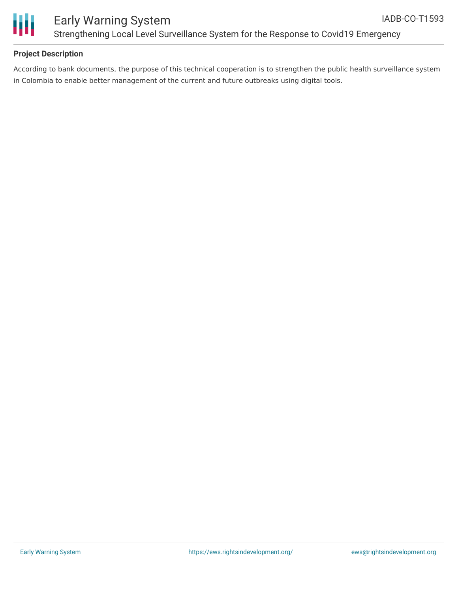

# Ш

### Early Warning System Strengthening Local Level Surveillance System for the Response to Covid19 Emergency

#### **Project Description**

According to bank documents, the purpose of this technical cooperation is to strengthen the public health surveillance system in Colombia to enable better management of the current and future outbreaks using digital tools.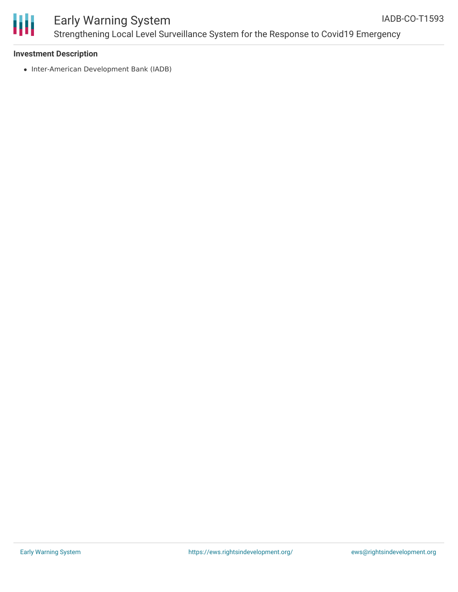

#### Early Warning System Strengthening Local Level Surveillance System for the Response to Covid19 Emergency IADB-CO-T1593

#### **Investment Description**

• Inter-American Development Bank (IADB)